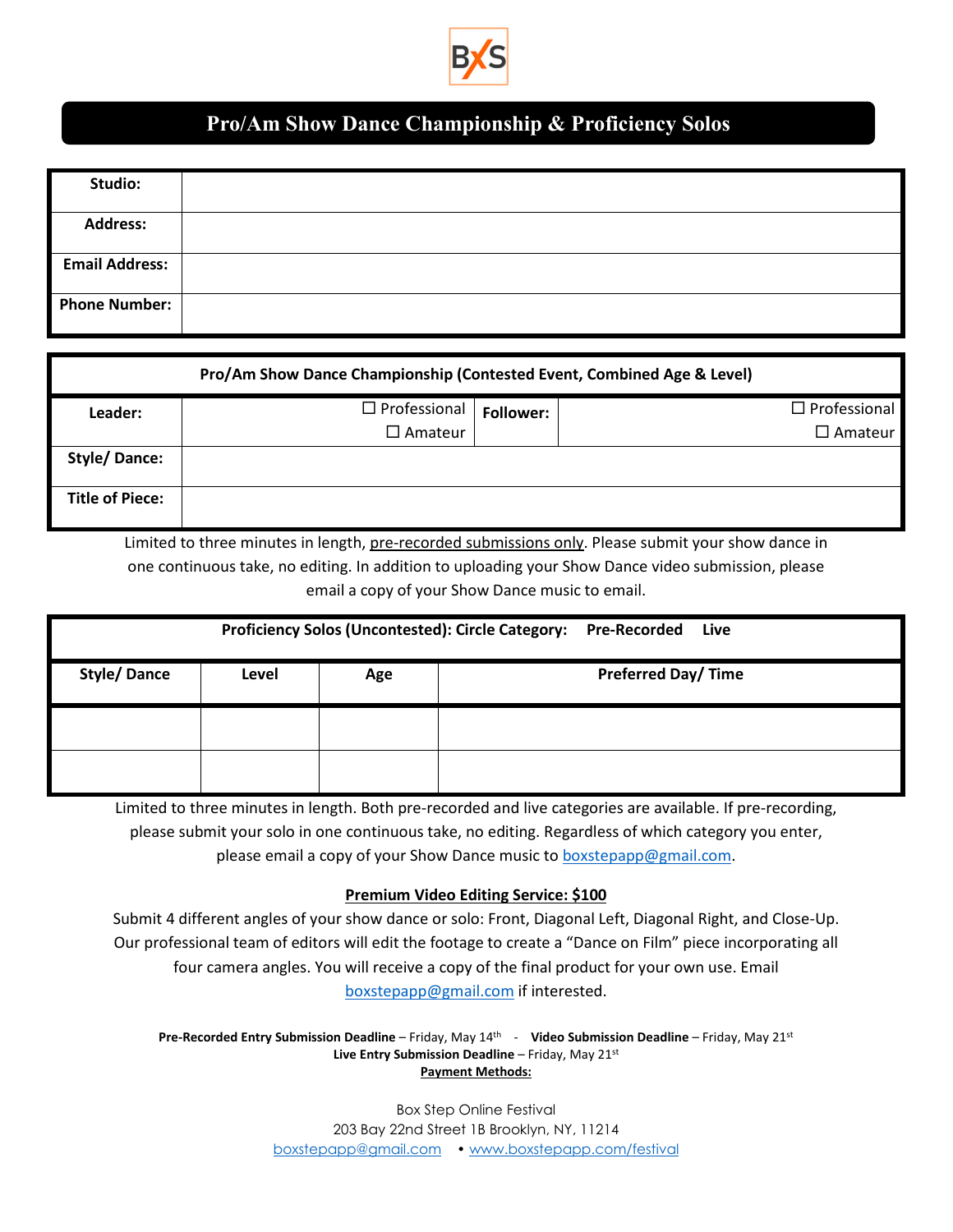

## **Pro/Am Show Dance Championship & Proficiency Solos**

| Studio:               |  |
|-----------------------|--|
|                       |  |
|                       |  |
| <b>Address:</b>       |  |
|                       |  |
| <b>Email Address:</b> |  |
|                       |  |
| <b>Phone Number:</b>  |  |
|                       |  |

| Pro/Am Show Dance Championship (Contested Event, Combined Age & Level) |                     |                  |                     |  |  |  |
|------------------------------------------------------------------------|---------------------|------------------|---------------------|--|--|--|
| Leader:                                                                | $\Box$ Professional | <b>Follower:</b> | $\Box$ Professional |  |  |  |
|                                                                        | $\Box$ Amateur      |                  | $\square$ Amateur   |  |  |  |
| <b>Style/Dance:</b>                                                    |                     |                  |                     |  |  |  |
| <b>Title of Piece:</b>                                                 |                     |                  |                     |  |  |  |

Limited to three minutes in length, pre-recorded submissions only. Please submit your show dance in Limited Su one continuous take, no editing. In addition to uploading your Show Dance video submission, please email a copy of your Show Dance music to email.

| Proficiency Solos (Uncontested): Circle Category: Pre-Recorded<br>Live |       |     |                           |  |  |
|------------------------------------------------------------------------|-------|-----|---------------------------|--|--|
| <b>Style/Dance</b>                                                     | Level | Age | <b>Preferred Day/Time</b> |  |  |
|                                                                        |       |     |                           |  |  |
|                                                                        |       |     |                           |  |  |

Limited to three minutes in length. Both pre-recorded and live categories are available. If pre-recording, please submit your solo in one continuous take, no editing. Regardless of which category you enter, please email a copy of your Show Dance music to **boxstepapp@gmail.com**.

## **Premium Video Editing Service: \$100**

Submit 4 different angles of your show dance or solo: Front, Diagonal Left, Diagonal Right, and Close-Up. Our professional team of editors will edit the footage to create a "Dance on Film" piece incorporating all four camera angles. You will receive a copy of the final product for your own use. Email [boxstepapp@gmail.com](mailto:boxstepapp@gmail.com) if interested.

**Pre-Recorded Entry Submission Deadline** – Friday, May 14th - **Video Submission Deadline** – Friday, May 21st **Live Entry Submission Deadline** – Friday, May 21st **Payment Methods:**

> Box Step Online Festival 203 Bay 22nd Street 1B Brooklyn, NY, 11214 [boxstepapp@gmail.com](mailto:boxstepapp@gmail.com) [• www.boxstepapp.com/festival](http://www.boxstepapp.com/festival)